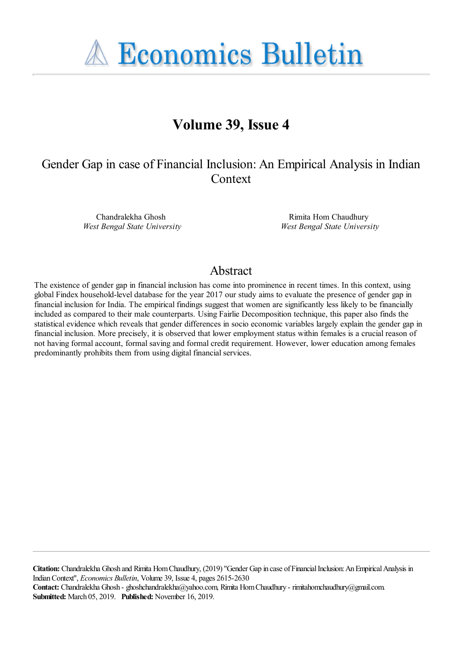**A Economics Bulletin** 

# **Volume 39, Issue 4**

# Gender Gap in case of Financial Inclusion: An Empirical Analysis in Indian **Context**

Chandralekha Ghosh *West Bengal State University*

Rimita Hom Chaudhury *West Bengal State University*

### Abstract

The existence of gender gap in financial inclusion has come into prominence in recent times. In this context, using global Findex household-level database for the year 2017 our study aims to evaluate the presence of gender gap in financial inclusion for India. The empirical findings suggest that women are significantly less likely to be financially included as compared to their male counterparts. Using Fairlie Decomposition technique, this paper also finds the statistical evidence which reveals that gender differences in socio economic variables largely explain the gender gap in financial inclusion. More precisely, it is observed that lower employment status within females is a crucial reason of not having formal account, formal saving and formal credit requirement. However, lower education among females predominantly prohibits them from using digital financial services.

**Citation:** Chandralekha Ghosh and Rimita Hom Chaudhury, (2019) ''Gender Gap in case of Financial Inclusion: An Empirical Analysis in Indian Context'', *Economics Bulletin*, Volume 39, Issue 4, pages 2615-2630 **Contact:** Chandralekha Ghosh - ghoshchandralekha@yahoo.com, Rimita Hom Chaudhury - rimitahomchaudhury@gmail.com. **Submitted:** March 05, 2019. **Published:** November 16, 2019.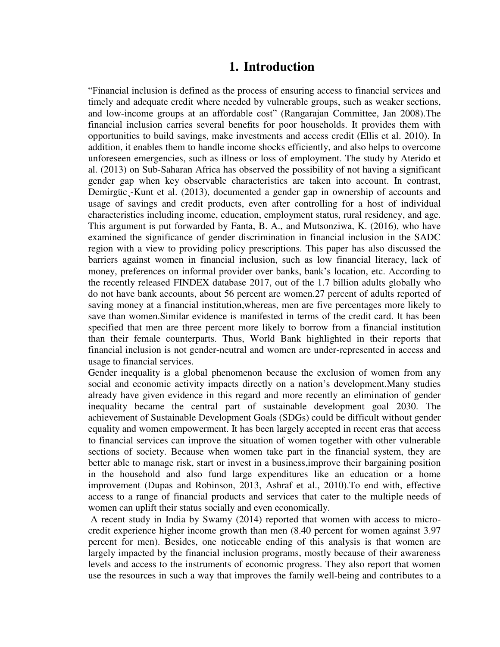## **1. Introduction**

"Financial inclusion is defined as the process of ensuring access to financial services and timely and adequate credit where needed by vulnerable groups, such as weaker sections, and low-income groups at an affordable cost" (Rangarajan Committee, Jan 2008).The financial inclusion carries several benefits for poor households. It provides them with opportunities to build savings, make investments and access credit (Ellis et al. 2010). In addition, it enables them to handle income shocks efficiently, and also helps to overcome unforeseen emergencies, such as illness or loss of employment. The study by Aterido et al. (2013) on Sub-Saharan Africa has observed the possibility of not having a significant gender gap when key observable characteristics are taken into account. In contrast, Demirgüc¸-Kunt et al. (2013), documented a gender gap in ownership of accounts and usage of savings and credit products, even after controlling for a host of individual characteristics including income, education, employment status, rural residency, and age. This argument is put forwarded by Fanta, B. A., and Mutsonziwa, K. (2016), who have examined the significance of gender discrimination in financial inclusion in the SADC region with a view to providing policy prescriptions. This paper has also discussed the barriers against women in financial inclusion, such as low financial literacy, lack of money, preferences on informal provider over banks, bank"s location, etc. According to the recently released FINDEX database 2017, out of the 1.7 billion adults globally who do not have bank accounts, about 56 percent are women.27 percent of adults reported of saving money at a financial institution,whereas, men are five percentages more likely to save than women.Similar evidence is manifested in terms of the credit card. It has been specified that men are three percent more likely to borrow from a financial institution than their female counterparts. Thus, World Bank highlighted in their reports that financial inclusion is not gender-neutral and women are under-represented in access and usage to financial services.

Gender inequality is a global phenomenon because the exclusion of women from any social and economic activity impacts directly on a nation's development. Many studies already have given evidence in this regard and more recently an elimination of gender inequality became the central part of sustainable development goal 2030. The achievement of Sustainable Development Goals (SDGs) could be difficult without gender equality and women empowerment. It has been largely accepted in recent eras that access to financial services can improve the situation of women together with other vulnerable sections of society. Because when women take part in the financial system, they are better able to manage risk, start or invest in a business,improve their bargaining position in the household and also fund large expenditures like an education or a home improvement (Dupas and Robinson, 2013, Ashraf et al., 2010).To end with, effective access to a range of financial products and services that cater to the multiple needs of women can uplift their status socially and even economically.

 A recent study in India by Swamy (2014) reported that women with access to microcredit experience higher income growth than men (8.40 percent for women against 3.97 percent for men). Besides, one noticeable ending of this analysis is that women are largely impacted by the financial inclusion programs, mostly because of their awareness levels and access to the instruments of economic progress. They also report that women use the resources in such a way that improves the family well-being and contributes to a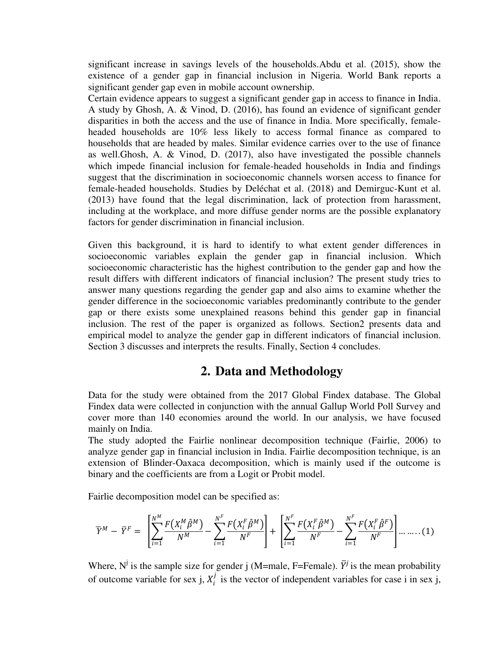significant increase in savings levels of the households.Abdu et al. (2015), show the existence of a gender gap in financial inclusion in Nigeria. World Bank reports a significant gender gap even in mobile account ownership.

Certain evidence appears to suggest a significant gender gap in access to finance in India. A study by Ghosh, A. & Vinod, D. (2016), has found an evidence of significant gender disparities in both the access and the use of finance in India. More specifically, femaleheaded households are 10% less likely to access formal finance as compared to households that are headed by males. Similar evidence carries over to the use of finance as well.Ghosh, A. & Vinod, D. (2017), also have investigated the possible channels which impede financial inclusion for female-headed households in India and findings suggest that the discrimination in socioeconomic channels worsen access to finance for female-headed households. Studies by Deléchat et al. (2018) and Demirguc-Kunt et al. (2013) have found that the legal discrimination, lack of protection from harassment, including at the workplace, and more diffuse gender norms are the possible explanatory factors for gender discrimination in financial inclusion.

Given this background, it is hard to identify to what extent gender differences in socioeconomic variables explain the gender gap in financial inclusion. Which socioeconomic characteristic has the highest contribution to the gender gap and how the result differs with different indicators of financial inclusion? The present study tries to answer many questions regarding the gender gap and also aims to examine whether the gender difference in the socioeconomic variables predominantly contribute to the gender gap or there exists some unexplained reasons behind this gender gap in financial inclusion. The rest of the paper is organized as follows. Section2 presents data and empirical model to analyze the gender gap in different indicators of financial inclusion. Section 3 discusses and interprets the results. Finally, Section 4 concludes.

## **2. Data and Methodology**

Data for the study were obtained from the 2017 Global Findex database. The Global Findex data were collected in conjunction with the annual Gallup World Poll Survey and cover more than 140 economies around the world. In our analysis, we have focused mainly on India.

The study adopted the Fairlie nonlinear decomposition technique (Fairlie, 2006) to analyze gender gap in financial inclusion in India. Fairlie decomposition technique, is an extension of Blinder-Oaxaca decomposition, which is mainly used if the outcome is binary and the coefficients are from a Logit or Probit model.

Fairlie decomposition model can be specified as:

$$
\overline{Y}^M - \overline{Y}^F = \left[ \sum_{i=1}^{N^M} \frac{F(X_i^M \hat{\beta}^M)}{N^M} - \sum_{i=1}^{N^F} \frac{F(X_i^F \hat{\beta}^M)}{N^F} \right] + \left[ \sum_{i=1}^{N^F} \frac{F(X_i^F \hat{\beta}^M)}{N^F} - \sum_{i=1}^{N^F} \frac{F(X_i^F \hat{\beta}^F)}{N^F} \right] \dots \dots (1)
$$

Where,  $N^j$  is the sample size for gender j (M=male, F=Female).  $\bar{Y}^j$  is the mean probability of outcome variable for sex j,  $X_i^j$  is the vector of independent variables for case i in sex j,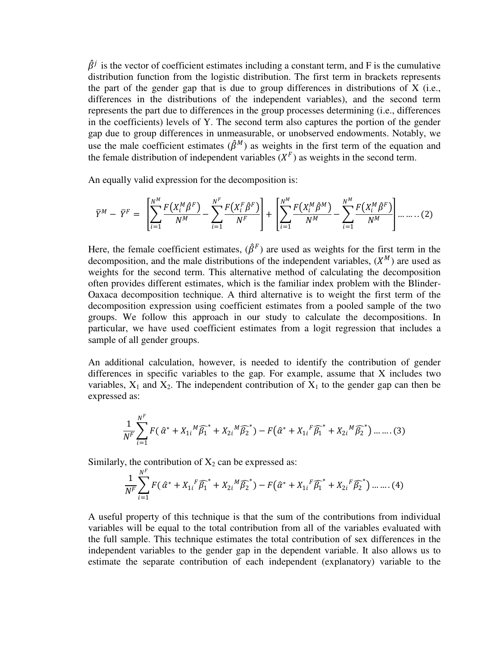$\hat{\beta}^j$  is the vector of coefficient estimates including a constant term, and F is the cumulative distribution function from the logistic distribution. The first term in brackets represents the part of the gender gap that is due to group differences in distributions of  $X$  (i.e., differences in the distributions of the independent variables), and the second term represents the part due to differences in the group processes determining (i.e., differences in the coefficients) levels of Y. The second term also captures the portion of the gender gap due to group differences in unmeasurable, or unobserved endowments. Notably, we use the male coefficient estimates  $(\hat{\beta}^M)$  as weights in the first term of the equation and the female distribution of independent variables  $(X^F)$  as weights in the second term.

An equally valid expression for the decomposition is:

$$
\overline{Y}^M - \overline{Y}^F = \left[ \sum_{i=1}^{N^M} \frac{F(X_i^M \hat{\beta}^F)}{N^M} - \sum_{i=1}^{N^F} \frac{F(X_i^F \hat{\beta}^F)}{N^F} \right] + \left[ \sum_{i=1}^{N^M} \frac{F(X_i^M \hat{\beta}^M)}{N^M} - \sum_{i=1}^{N^M} \frac{F(X_i^M \hat{\beta}^F)}{N^M} \right] \dots \dots (2)
$$

Here, the female coefficient estimates,  $(\hat{\beta}^F)$  are used as weights for the first term in the decomposition, and the male distributions of the independent variables,  $(X^M)$  are used as weights for the second term. This alternative method of calculating the decomposition often provides different estimates, which is the familiar index problem with the Blinder-Oaxaca decomposition technique. A third alternative is to weight the first term of the decomposition expression using coefficient estimates from a pooled sample of the two groups. We follow this approach in our study to calculate the decompositions. In particular, we have used coefficient estimates from a logit regression that includes a sample of all gender groups.

An additional calculation, however, is needed to identify the contribution of gender differences in specific variables to the gap. For example, assume that X includes two variables,  $X_1$  and  $X_2$ . The independent contribution of  $X_1$  to the gender gap can then be expressed as:

$$
\frac{1}{N^F} \sum_{i=1}^{N^F} F(\hat{\alpha}^* + X_{1i}{}^M \widehat{\beta_1}^* + X_{2i}{}^M \widehat{\beta_2}^*) - F(\hat{\alpha}^* + X_{1i}{}^F \widehat{\beta_1}^* + X_{2i}{}^M \widehat{\beta_2}^*) \dots \dots (3)
$$

Similarly, the contribution of  $X_2$  can be expressed as:

$$
\frac{1}{N^F} \sum_{i=1}^{N^F} F(\hat{\alpha}^* + X_{1i}^F \widehat{\beta_1}^* + X_{2i}^M \widehat{\beta_2}^*) - F(\hat{\alpha}^* + X_{1i}^F \widehat{\beta_1}^* + X_{2i}^F \widehat{\beta_2}^*) \dots \dots (4)
$$

A useful property of this technique is that the sum of the contributions from individual variables will be equal to the total contribution from all of the variables evaluated with the full sample. This technique estimates the total contribution of sex differences in the independent variables to the gender gap in the dependent variable. It also allows us to estimate the separate contribution of each independent (explanatory) variable to the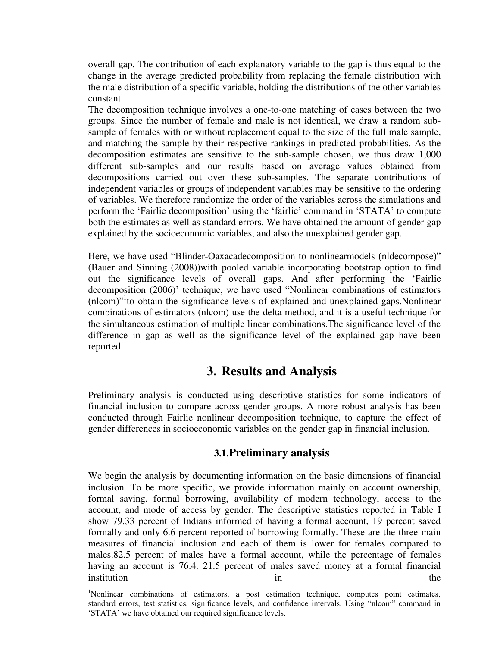overall gap. The contribution of each explanatory variable to the gap is thus equal to the change in the average predicted probability from replacing the female distribution with the male distribution of a specific variable, holding the distributions of the other variables constant.

The decomposition technique involves a one-to-one matching of cases between the two groups. Since the number of female and male is not identical, we draw a random subsample of females with or without replacement equal to the size of the full male sample, and matching the sample by their respective rankings in predicted probabilities. As the decomposition estimates are sensitive to the sub-sample chosen, we thus draw 1,000 different sub-samples and our results based on average values obtained from decompositions carried out over these sub-samples. The separate contributions of independent variables or groups of independent variables may be sensitive to the ordering of variables. We therefore randomize the order of the variables across the simulations and perform the "Fairlie decomposition" using the "fairlie" command in "STATA" to compute both the estimates as well as standard errors. We have obtained the amount of gender gap explained by the socioeconomic variables, and also the unexplained gender gap.

Here, we have used "Blinder-Oaxacadecomposition to nonlinearmodels (nldecompose)" (Bauer and Sinning (2008))with pooled variable incorporating bootstrap option to find out the significance levels of overall gaps. And after performing the "Fairlie decomposition (2006)' technique, we have used "Nonlinear combinations of estimators  $(nlcom)$ <sup>1</sup>to obtain the significance levels of explained and unexplained gaps. Nonlinear combinations of estimators (nlcom) use the delta method, and it is a useful technique for the simultaneous estimation of multiple linear combinations.The significance level of the difference in gap as well as the significance level of the explained gap have been reported.

## **3. Results and Analysis**

Preliminary analysis is conducted using descriptive statistics for some indicators of financial inclusion to compare across gender groups. A more robust analysis has been conducted through Fairlie nonlinear decomposition technique, to capture the effect of gender differences in socioeconomic variables on the gender gap in financial inclusion.

### **3.1.Preliminary analysis**

We begin the analysis by documenting information on the basic dimensions of financial inclusion. To be more specific, we provide information mainly on account ownership, formal saving, formal borrowing, availability of modern technology, access to the account, and mode of access by gender. The descriptive statistics reported in Table I show 79.33 percent of Indians informed of having a formal account, 19 percent saved formally and only 6.6 percent reported of borrowing formally. These are the three main measures of financial inclusion and each of them is lower for females compared to males.82.5 percent of males have a formal account, while the percentage of females having an account is 76.4. 21.5 percent of males saved money at a formal financial institution the the set of the set of the set of the set of the set of the set of the set of the set of the set of the set of the set of the set of the set of the set of the set of the set of the set of the set of the set

<sup>&</sup>lt;sup>1</sup>Nonlinear combinations of estimators, a post estimation technique, computes point estimates, standard errors, test statistics, significance levels, and confidence intervals. Using "nlcom" command in "STATA" we have obtained our required significance levels.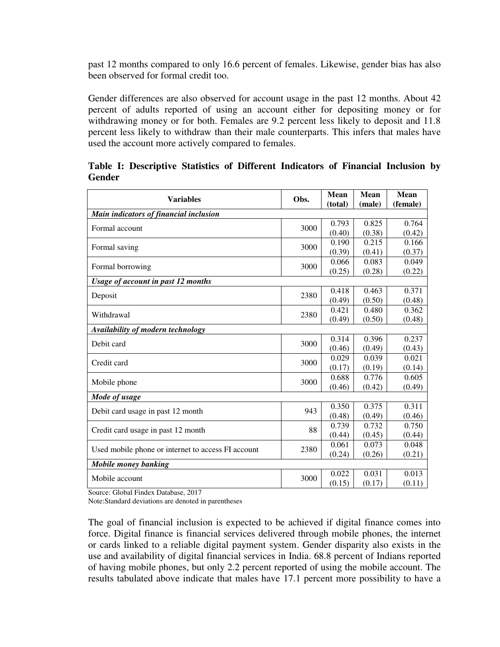past 12 months compared to only 16.6 percent of females. Likewise, gender bias has also been observed for formal credit too.

Gender differences are also observed for account usage in the past 12 months. About 42 percent of adults reported of using an account either for depositing money or for withdrawing money or for both. Females are 9.2 percent less likely to deposit and 11.8 percent less likely to withdraw than their male counterparts. This infers that males have used the account more actively compared to females.

| <b>Variables</b>                                   | Obs. | Mean                                                                                          | Mean   | Mean     |  |  |  |
|----------------------------------------------------|------|-----------------------------------------------------------------------------------------------|--------|----------|--|--|--|
|                                                    |      | (total)                                                                                       | (male) | (female) |  |  |  |
| Main indicators of financial inclusion             |      |                                                                                               |        |          |  |  |  |
| Formal account                                     | 3000 | 0.793                                                                                         | 0.825  | 0.764    |  |  |  |
|                                                    |      | (0.40)                                                                                        | (0.38) | (0.42)   |  |  |  |
| Formal saving                                      | 3000 | 0.190                                                                                         | 0.215  | 0.166    |  |  |  |
|                                                    |      | (0.39)                                                                                        | (0.41) | (0.37)   |  |  |  |
| Formal borrowing                                   | 3000 | 0.066                                                                                         | 0.083  | 0.049    |  |  |  |
|                                                    |      | (0.25)                                                                                        | (0.28) | (0.22)   |  |  |  |
| <b>Usage of account in past 12 months</b>          |      |                                                                                               |        |          |  |  |  |
| Deposit                                            |      | 0.418                                                                                         | 0.463  | 0.371    |  |  |  |
|                                                    |      | (0.49)                                                                                        | (0.50) | (0.48)   |  |  |  |
| Withdrawal                                         |      | 0.421                                                                                         | 0.480  | 0.362    |  |  |  |
|                                                    |      | (0.49)                                                                                        | (0.50) | (0.48)   |  |  |  |
| Availability of modern technology                  |      |                                                                                               |        |          |  |  |  |
| Debit card                                         |      | 0.314                                                                                         | 0.396  | 0.237    |  |  |  |
|                                                    |      | (0.46)                                                                                        | (0.49) | (0.43)   |  |  |  |
| Credit card                                        |      | 0.029                                                                                         | 0.039  | 0.021    |  |  |  |
|                                                    |      | 2380<br>2380<br>3000<br>3000<br>(0.17)<br>(0.19)<br>(0.14)<br>0.776<br>0.605<br>0.688<br>3000 |        |          |  |  |  |
| Mobile phone                                       |      |                                                                                               |        |          |  |  |  |
|                                                    |      | (0.46)                                                                                        | (0.42) | (0.49)   |  |  |  |
| Mode of usage                                      |      |                                                                                               |        |          |  |  |  |
|                                                    | 943  | 0.350                                                                                         | 0.375  | 0.311    |  |  |  |
| Debit card usage in past 12 month                  |      | (0.48)                                                                                        | (0.49) | (0.46)   |  |  |  |
| Credit card usage in past 12 month                 | 88   | 0.739                                                                                         | 0.732  | 0.750    |  |  |  |
|                                                    |      | (0.44)                                                                                        | (0.45) | (0.44)   |  |  |  |
| Used mobile phone or internet to access FI account | 2380 | 0.061                                                                                         | 0.073  | 0.048    |  |  |  |
|                                                    |      | (0.24)                                                                                        | (0.26) | (0.21)   |  |  |  |
| <b>Mobile money banking</b>                        |      |                                                                                               |        |          |  |  |  |
| Mobile account                                     |      | 0.022                                                                                         | 0.031  | 0.013    |  |  |  |
|                                                    | 3000 | (0.15)                                                                                        | (0.17) | (0.11)   |  |  |  |

**Table I: Descriptive Statistics of Different Indicators of Financial Inclusion by Gender** 

Source: Global Findex Database, 2017

Note:Standard deviations are denoted in parentheses

The goal of financial inclusion is expected to be achieved if digital finance comes into force. Digital finance is financial services delivered through mobile phones, the internet or cards linked to a reliable digital payment system. Gender disparity also exists in the use and availability of digital financial services in India. 68.8 percent of Indians reported of having mobile phones, but only 2.2 percent reported of using the mobile account. The results tabulated above indicate that males have 17.1 percent more possibility to have a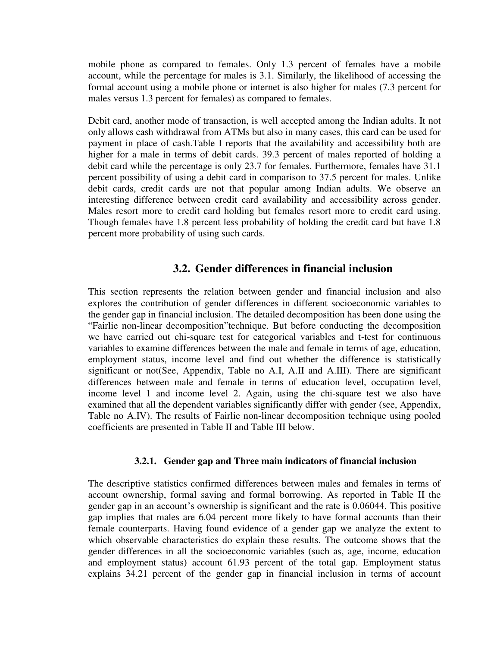mobile phone as compared to females. Only 1.3 percent of females have a mobile account, while the percentage for males is 3.1. Similarly, the likelihood of accessing the formal account using a mobile phone or internet is also higher for males (7.3 percent for males versus 1.3 percent for females) as compared to females.

Debit card, another mode of transaction, is well accepted among the Indian adults. It not only allows cash withdrawal from ATMs but also in many cases, this card can be used for payment in place of cash.Table I reports that the availability and accessibility both are higher for a male in terms of debit cards. 39.3 percent of males reported of holding a debit card while the percentage is only 23.7 for females. Furthermore, females have 31.1 percent possibility of using a debit card in comparison to 37.5 percent for males. Unlike debit cards, credit cards are not that popular among Indian adults. We observe an interesting difference between credit card availability and accessibility across gender. Males resort more to credit card holding but females resort more to credit card using. Though females have 1.8 percent less probability of holding the credit card but have 1.8 percent more probability of using such cards.

### **3.2. Gender differences in financial inclusion**

This section represents the relation between gender and financial inclusion and also explores the contribution of gender differences in different socioeconomic variables to the gender gap in financial inclusion. The detailed decomposition has been done using the "Fairlie non-linear decomposition"technique. But before conducting the decomposition we have carried out chi-square test for categorical variables and t-test for continuous variables to examine differences between the male and female in terms of age, education, employment status, income level and find out whether the difference is statistically significant or not(See, Appendix, Table no A.I, A.II and A.III). There are significant differences between male and female in terms of education level, occupation level, income level 1 and income level 2. Again, using the chi-square test we also have examined that all the dependent variables significantly differ with gender (see, Appendix, Table no A.IV). The results of Fairlie non-linear decomposition technique using pooled coefficients are presented in Table II and Table III below.

#### **3.2.1. Gender gap and Three main indicators of financial inclusion**

The descriptive statistics confirmed differences between males and females in terms of account ownership, formal saving and formal borrowing. As reported in Table II the gender gap in an account's ownership is significant and the rate is 0.06044. This positive gap implies that males are 6.04 percent more likely to have formal accounts than their female counterparts. Having found evidence of a gender gap we analyze the extent to which observable characteristics do explain these results. The outcome shows that the gender differences in all the socioeconomic variables (such as, age, income, education and employment status) account 61.93 percent of the total gap. Employment status explains 34.21 percent of the gender gap in financial inclusion in terms of account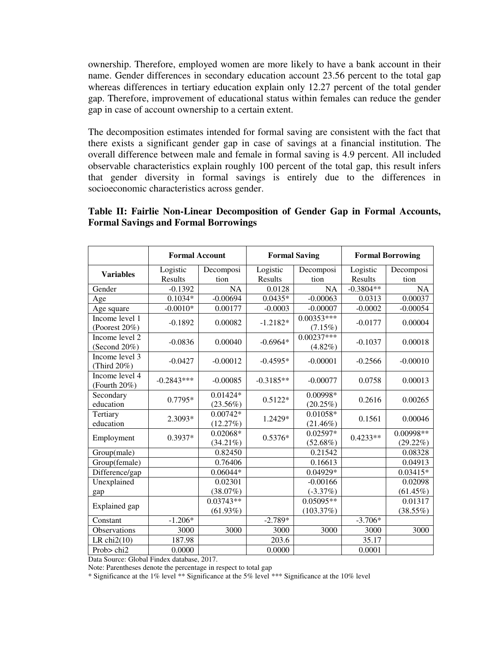ownership. Therefore, employed women are more likely to have a bank account in their name. Gender differences in secondary education account 23.56 percent to the total gap whereas differences in tertiary education explain only 12.27 percent of the total gender gap. Therefore, improvement of educational status within females can reduce the gender gap in case of account ownership to a certain extent.

The decomposition estimates intended for formal saving are consistent with the fact that there exists a significant gender gap in case of savings at a financial institution. The overall difference between male and female in formal saving is 4.9 percent. All included observable characteristics explain roughly 100 percent of the total gap, this result infers that gender diversity in formal savings is entirely due to the differences in socioeconomic characteristics across gender.

#### **Table II: Fairlie Non-Linear Decomposition of Gender Gap in Formal Accounts, Formal Savings and Formal Borrowings**

|                                 | <b>Formal Account</b> |                           | <b>Formal Saving</b> |                            | <b>Formal Borrowing</b> |                          |
|---------------------------------|-----------------------|---------------------------|----------------------|----------------------------|-------------------------|--------------------------|
| <b>Variables</b>                | Logistic              | Decomposi                 | Logistic             | Decomposi                  | Logistic                | Decomposi                |
|                                 | Results               | tion                      | Results              | tion                       | Results                 | tion                     |
| Gender                          | $-0.1392$             | <b>NA</b>                 | 0.0128               | <b>NA</b>                  | $-0.3804**$             | <b>NA</b>                |
| Age                             | $0.1034*$             | $-0.00694$                | $0.0435*$            | $-0.00063$                 | 0.0313                  | 0.00037                  |
| Age square                      | $-0.0010*$            | 0.00177                   | $-0.0003$            | $-0.00007$                 | $-0.0002$               | $-0.00054$               |
| Income level 1<br>(Poorest 20%) | $-0.1892$             | 0.00082                   | $-1.2182*$           | $0.00353***$<br>(7.15%)    | $-0.0177$               | 0.00004                  |
| Income level 2<br>(Second 20%)  | $-0.0836$             | 0.00040                   | $-0.6964*$           | $0.00237***$<br>$(4.82\%)$ | $-0.1037$               | 0.00018                  |
| Income level 3<br>(Third 20%)   | $-0.0427$             | $-0.00012$                | $-0.4595*$           | $-0.00001$                 | $-0.2566$               | $-0.00010$               |
| Income level 4<br>(Fourth 20%)  | $-0.2843***$          | $-0.00085$                | $-0.3185**$          | $-0.00077$                 | 0.0758                  | 0.00013                  |
| Secondary<br>education          | $0.7795*$             | $0.01424*$<br>$(23.56\%)$ | $0.5122*$            | 0.00998*<br>(20.25%)       | 0.2616                  | 0.00265                  |
| Tertiary<br>education           | 2.3093*               | $0.00742*$<br>(12.27%)    | 1.2429*              | $0.01058*$<br>$(21.46\%)$  | 0.1561                  | 0.00046                  |
| Employment                      | $0.3937*$             | $0.02068*$<br>$(34.21\%)$ | $0.5376*$            | $0.02597*$<br>$(52.68\%)$  | $0.4233**$              | 0.00998**<br>$(29.22\%)$ |
| Group(male)                     |                       | 0.82450                   |                      | 0.21542                    |                         | 0.08328                  |
| Group(female)                   |                       | 0.76406                   |                      | 0.16613                    |                         | 0.04913                  |
| Difference/gap                  |                       | $0.06044*$                |                      | $0.04929*$                 |                         | $0.03415*$               |
| Unexplained                     |                       | 0.02301                   |                      | $-0.00166$                 |                         | 0.02098                  |
| gap                             |                       | (38.07%)                  |                      | $(-3.37%)$                 |                         | $(61.45\%)$              |
| Explained gap                   |                       | $0.03743**$               |                      | $0.05095**$                |                         | 0.01317                  |
|                                 |                       | $(61.93\%)$               |                      | (103.37%)                  |                         | $(38.55\%)$              |
| Constant                        | $-1.206*$             |                           | $-2.789*$            |                            | $-3.706*$               |                          |
| Observations                    | 3000                  | 3000                      | 3000                 | 3000                       | 3000                    | 3000                     |
| LR chi $2(10)$                  | 187.98                |                           | 203.6                |                            | 35.17                   |                          |
| Prob> chi2                      | 0.0000                |                           | 0.0000               |                            | 0.0001                  |                          |

Data Source: Global Findex database, 2017.

Note: Parentheses denote the percentage in respect to total gap

\* Significance at the 1% level \*\* Significance at the 5% level \*\*\* Significance at the 10% level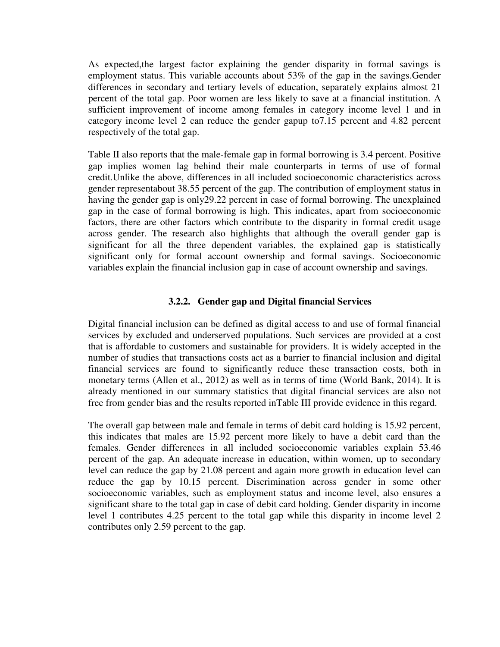As expected,the largest factor explaining the gender disparity in formal savings is employment status. This variable accounts about 53% of the gap in the savings.Gender differences in secondary and tertiary levels of education, separately explains almost 21 percent of the total gap. Poor women are less likely to save at a financial institution. A sufficient improvement of income among females in category income level 1 and in category income level 2 can reduce the gender gapup to7.15 percent and 4.82 percent respectively of the total gap.

Table II also reports that the male-female gap in formal borrowing is 3.4 percent. Positive gap implies women lag behind their male counterparts in terms of use of formal credit.Unlike the above, differences in all included socioeconomic characteristics across gender representabout 38.55 percent of the gap. The contribution of employment status in having the gender gap is only29.22 percent in case of formal borrowing. The unexplained gap in the case of formal borrowing is high. This indicates, apart from socioeconomic factors, there are other factors which contribute to the disparity in formal credit usage across gender. The research also highlights that although the overall gender gap is significant for all the three dependent variables, the explained gap is statistically significant only for formal account ownership and formal savings. Socioeconomic variables explain the financial inclusion gap in case of account ownership and savings.

#### **3.2.2. Gender gap and Digital financial Services**

Digital financial inclusion can be defined as digital access to and use of formal financial services by excluded and underserved populations. Such services are provided at a cost that is affordable to customers and sustainable for providers. It is widely accepted in the number of studies that transactions costs act as a barrier to financial inclusion and digital financial services are found to significantly reduce these transaction costs, both in monetary terms (Allen et al., 2012) as well as in terms of time (World Bank, 2014). It is already mentioned in our summary statistics that digital financial services are also not free from gender bias and the results reported inTable III provide evidence in this regard.

The overall gap between male and female in terms of debit card holding is 15.92 percent, this indicates that males are 15.92 percent more likely to have a debit card than the females. Gender differences in all included socioeconomic variables explain 53.46 percent of the gap. An adequate increase in education, within women, up to secondary level can reduce the gap by 21.08 percent and again more growth in education level can reduce the gap by 10.15 percent. Discrimination across gender in some other socioeconomic variables, such as employment status and income level, also ensures a significant share to the total gap in case of debit card holding. Gender disparity in income level 1 contributes 4.25 percent to the total gap while this disparity in income level 2 contributes only 2.59 percent to the gap.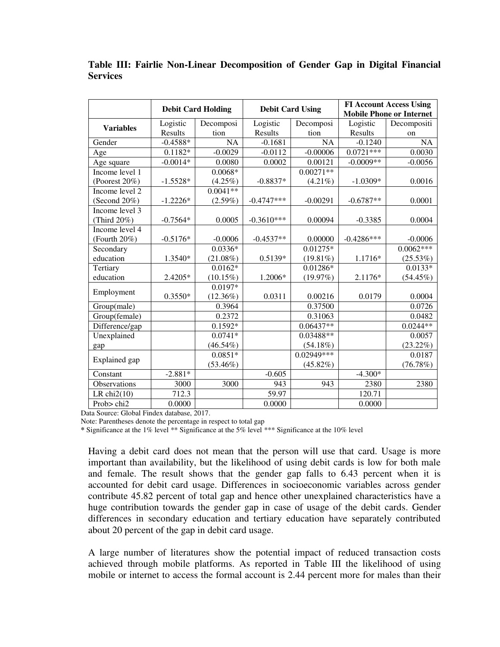|                  |            | <b>Debit Card Holding</b> |                | <b>Debit Card Using</b> | <b>FI Account Access Using</b> |                                 |  |
|------------------|------------|---------------------------|----------------|-------------------------|--------------------------------|---------------------------------|--|
|                  |            |                           |                |                         |                                | <b>Mobile Phone or Internet</b> |  |
| <b>Variables</b> | Logistic   | Decomposi                 | Logistic       | Decomposi               | Logistic                       | Decompositi                     |  |
|                  | Results    | tion                      | <b>Results</b> | tion                    | Results                        | on                              |  |
| Gender           | $-0.4588*$ | <b>NA</b>                 | $-0.1681$      | $\overline{NA}$         | $-0.1240$                      | $\overline{NA}$                 |  |
| Age              | $0.1182*$  | $-0.0029$                 | $-0.0112$      | $-0.00006$              | $0.0721***$                    | 0.0030                          |  |
| Age square       | $-0.0014*$ | 0.0080                    | 0.0002         | 0.00121                 | $-0.0009**$                    | $-0.0056$                       |  |
| Income level $1$ |            | $0.0068*$                 |                | $0.00271**$             |                                |                                 |  |
| (Poorest 20%)    | $-1.5528*$ | $(4.25\%)$                | $-0.8837*$     | $(4.21\%)$              | $-1.0309*$                     | 0.0016                          |  |
| Income level 2   |            | $0.0041**$                |                |                         |                                |                                 |  |
| (Second 20%)     | $-1.2226*$ | $(2.59\%)$                | $-0.4747***$   | $-0.00291$              | $-0.6787**$                    | 0.0001                          |  |
| Income level 3   |            |                           |                |                         |                                |                                 |  |
| (Third 20%)      | $-0.7564*$ | 0.0005                    | $-0.3610***$   | 0.00094                 | $-0.3385$                      | 0.0004                          |  |
| Income level 4   |            |                           |                |                         |                                |                                 |  |
| (Fourth 20%)     | $-0.5176*$ | $-0.0006$                 | $-0.4537**$    | 0.00000                 | $-0.4286***$                   | $-0.0006$                       |  |
| Secondary        |            | $0.0336*$                 |                | $0.01275*$              |                                | $0.0062***$                     |  |
| education        | 1.3540*    | $(21.08\%)$               | $0.5139*$      | $(19.81\%)$             | 1.1716*                        | (25.53%)                        |  |
| Tertiary         |            | $0.0162*$                 |                | $0.01286*$              |                                | $0.0133*$                       |  |
| education        | 2.4205*    | $(10.15\%)$               | 1.2006*        | (19.97%)                | 2.1176*                        | $(54.45\%)$                     |  |
|                  |            | $0.0197*$                 |                |                         |                                |                                 |  |
| Employment       | $0.3550*$  | $(12.36\%)$               | 0.0311         | 0.00216                 | 0.0179                         | 0.0004                          |  |
| Group(male)      |            | 0.3964                    |                | 0.37500                 |                                | 0.0726                          |  |
| Group(female)    |            | 0.2372                    |                | 0.31063                 |                                | 0.0482                          |  |
| Difference/gap   |            | $0.1592*$                 |                | $0.06437**$             |                                | $0.0244**$                      |  |
| Unexplained      |            | $0.0741*$                 |                | 0.03488**               |                                | 0.0057                          |  |
| gap              |            | $(46.54\%)$               |                | $(54.18\%)$             |                                | $(23.22\%)$                     |  |
|                  |            | $0.0851*$                 |                | $0.02949***$            |                                | 0.0187                          |  |
| Explained gap    |            | $(53.46\%)$               |                | $(45.82\%)$             |                                | (76.78%)                        |  |
| Constant         | $-2.881*$  |                           | $-0.605$       |                         | $-4.300*$                      |                                 |  |
| Observations     | 3000       | 3000                      | 943            | 943                     | 2380                           | 2380                            |  |
| LR chi $2(10)$   | 712.3      |                           | 59.97          |                         | 120.71                         |                                 |  |
| Prob> chi2       | 0.0000     |                           | 0.0000         |                         | 0.0000                         |                                 |  |

**Table III: Fairlie Non-Linear Decomposition of Gender Gap in Digital Financial Services** 

Data Source: Global Findex database, 2017.

Note: Parentheses denote the percentage in respect to total gap

**\*** Significance at the 1% level \*\* Significance at the 5% level \*\*\* Significance at the 10% level

Having a debit card does not mean that the person will use that card. Usage is more important than availability, but the likelihood of using debit cards is low for both male and female. The result shows that the gender gap falls to 6.43 percent when it is accounted for debit card usage. Differences in socioeconomic variables across gender contribute 45.82 percent of total gap and hence other unexplained characteristics have a huge contribution towards the gender gap in case of usage of the debit cards. Gender differences in secondary education and tertiary education have separately contributed about 20 percent of the gap in debit card usage.

A large number of literatures show the potential impact of reduced transaction costs achieved through mobile platforms. As reported in Table III the likelihood of using mobile or internet to access the formal account is 2.44 percent more for males than their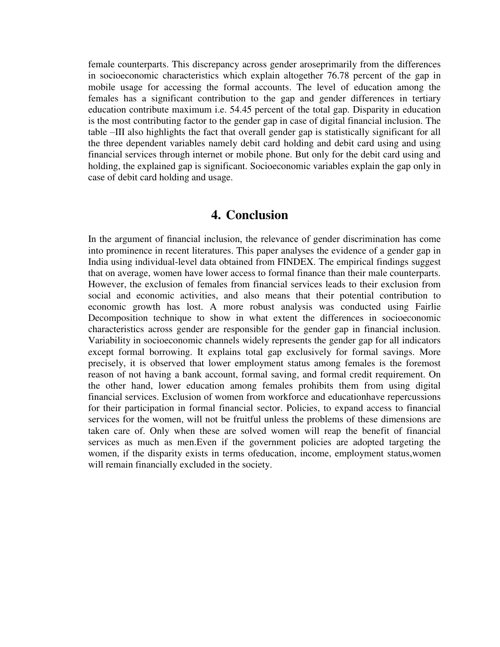female counterparts. This discrepancy across gender aroseprimarily from the differences in socioeconomic characteristics which explain altogether 76.78 percent of the gap in mobile usage for accessing the formal accounts. The level of education among the females has a significant contribution to the gap and gender differences in tertiary education contribute maximum i.e. 54.45 percent of the total gap. Disparity in education is the most contributing factor to the gender gap in case of digital financial inclusion. The table –III also highlights the fact that overall gender gap is statistically significant for all the three dependent variables namely debit card holding and debit card using and using financial services through internet or mobile phone. But only for the debit card using and holding, the explained gap is significant. Socioeconomic variables explain the gap only in case of debit card holding and usage.

### **4. Conclusion**

In the argument of financial inclusion, the relevance of gender discrimination has come into prominence in recent literatures. This paper analyses the evidence of a gender gap in India using individual-level data obtained from FINDEX. The empirical findings suggest that on average, women have lower access to formal finance than their male counterparts. However, the exclusion of females from financial services leads to their exclusion from social and economic activities, and also means that their potential contribution to economic growth has lost. A more robust analysis was conducted using Fairlie Decomposition technique to show in what extent the differences in socioeconomic characteristics across gender are responsible for the gender gap in financial inclusion. Variability in socioeconomic channels widely represents the gender gap for all indicators except formal borrowing. It explains total gap exclusively for formal savings. More precisely, it is observed that lower employment status among females is the foremost reason of not having a bank account, formal saving, and formal credit requirement. On the other hand, lower education among females prohibits them from using digital financial services. Exclusion of women from workforce and educationhave repercussions for their participation in formal financial sector. Policies, to expand access to financial services for the women, will not be fruitful unless the problems of these dimensions are taken care of. Only when these are solved women will reap the benefit of financial services as much as men.Even if the government policies are adopted targeting the women, if the disparity exists in terms ofeducation, income, employment status,women will remain financially excluded in the society.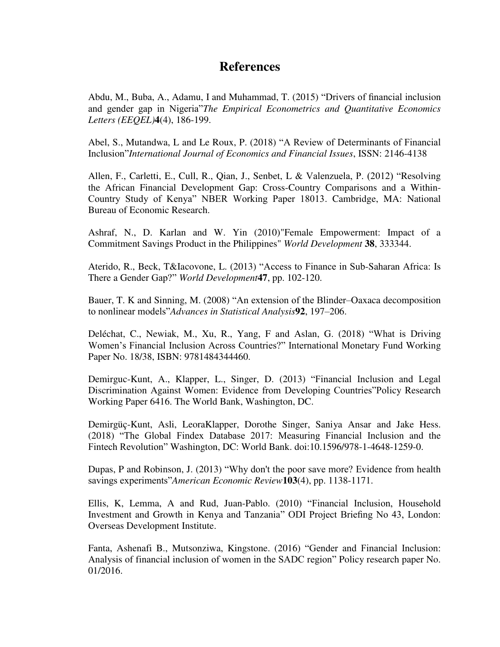## **References**

Abdu, M., Buba, A., Adamu, I and Muhammad, T. (2015) "Drivers of financial inclusion and gender gap in Nigeria"*The Empirical Econometrics and Quantitative Economics Letters (EEQEL)***4**(4), 186-199.

Abel, S., Mutandwa, L and Le Roux, P. (2018) "A Review of Determinants of Financial Inclusion"*International Journal of Economics and Financial Issues*, ISSN: 2146-4138

Allen, F., Carletti, E., Cull, R., Qian, J., Senbet, L & Valenzuela, P. (2012) "Resolving the African Financial Development Gap: Cross-Country Comparisons and a Within-Country Study of Kenya" NBER Working Paper 18013. Cambridge, MA: National Bureau of Economic Research.

Ashraf, N., D. Karlan and W. Yin (2010)"Female Empowerment: Impact of a Commitment Savings Product in the Philippines" *World Development* **38**, 333344.

Aterido, R., Beck, T&Iacovone, L. (2013) "Access to Finance in Sub-Saharan Africa: Is There a Gender Gap?" *World Development***47**, pp. 102-120.

Bauer, T. K and Sinning, M. (2008) "An extension of the Blinder–Oaxaca decomposition to nonlinear models"*Advances in Statistical Analysis***92**, 197–206.

Deléchat, C., Newiak, M., Xu, R., Yang, F and Aslan, G. (2018) "What is Driving Women"s Financial Inclusion Across Countries?" International Monetary Fund Working Paper No. 18/38, ISBN: 9781484344460.

Demirguc-Kunt, A., Klapper, L., Singer, D. (2013) "Financial Inclusion and Legal Discrimination Against Women: Evidence from Developing Countries"Policy Research Working Paper 6416. The World Bank, Washington, DC.

Demirgüç-Kunt, Asli, LeoraKlapper, Dorothe Singer, Saniya Ansar and Jake Hess. (2018) "The Global Findex Database 2017: Measuring Financial Inclusion and the Fintech Revolution" Washington, DC: World Bank. doi:10.1596/978-1-4648-1259-0.

Dupas, P and Robinson, J. (2013) "Why don't the poor save more? Evidence from health savings experiments"*American Economic Review***103**(4), pp. 1138-1171.

Ellis, K, Lemma, A and Rud, Juan-Pablo. (2010) "Financial Inclusion, Household Investment and Growth in Kenya and Tanzania" ODI Project Briefing No 43, London: Overseas Development Institute.

Fanta, Ashenafi B., Mutsonziwa, Kingstone. (2016) "Gender and Financial Inclusion: Analysis of financial inclusion of women in the SADC region" Policy research paper No. 01/2016.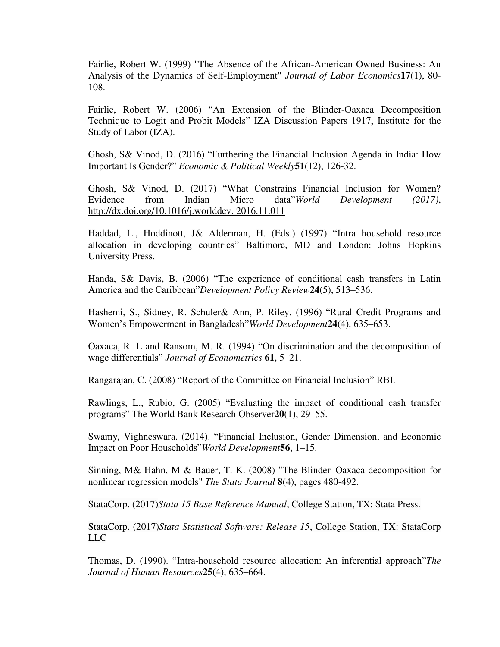Fairlie, Robert W. (1999) "The Absence of the African-American Owned Business: An Analysis of the Dynamics of Self-Employment" *Journal of Labor Economics***17**(1), 80- 108.

Fairlie, Robert W. (2006) "An Extension of the Blinder-Oaxaca Decomposition Technique to Logit and Probit Models" IZA Discussion Papers 1917, Institute for the Study of Labor (IZA).

Ghosh, S& Vinod, D. (2016) "Furthering the Financial Inclusion Agenda in India: How Important Is Gender?" *Economic & Political Weekly***51**(12), 126-32.

Ghosh, S& Vinod, D. (2017) "What Constrains Financial Inclusion for Women? Evidence from Indian Micro data"*World Development (2017)*, [http://dx.doi.org/10.1016/j.worlddev. 2016.11.011](http://dx.doi.org/10.1016/j.worlddev.%202016.11.011)

Haddad, L., Hoddinott, J& Alderman, H. (Eds.) (1997) "Intra household resource allocation in developing countries" Baltimore, MD and London: Johns Hopkins University Press.

Handa, S& Davis, B. (2006) "The experience of conditional cash transfers in Latin America and the Caribbean"*Development Policy Review***24**(5), 513–536.

Hashemi, S., Sidney, R. Schuler& Ann, P. Riley. (1996) "Rural Credit Programs and Women"s Empowerment in Bangladesh"*World Development***24**(4), 635–653.

Oaxaca, R. L and Ransom, M. R. (1994) "On discrimination and the decomposition of wage differentials" *Journal of Econometrics* **61**, 5–21.

Rangarajan, C. (2008) "Report of the Committee on Financial Inclusion" RBI.

Rawlings, L., Rubio, G. (2005) "Evaluating the impact of conditional cash transfer programs" The World Bank Research Observer**20**(1), 29–55.

Swamy, Vighneswara. (2014). "Financial Inclusion, Gender Dimension, and Economic Impact on Poor Households"*World Development***56**, 1–15.

Sinning, M& Hahn, M & Bauer, T. K. (2008) "The Blinder–Oaxaca decomposition for nonlinear regression models" *The Stata Journal* **8**(4), pages 480-492.

StataCorp. (2017)*Stata 15 Base Reference Manual*, College Station, TX: Stata Press.

StataCorp. (2017)*Stata Statistical Software: Release 15*, College Station, TX: StataCorp LLC

Thomas, D. (1990). "Intra-household resource allocation: An inferential approach"*The Journal of Human Resources***25**(4), 635–664.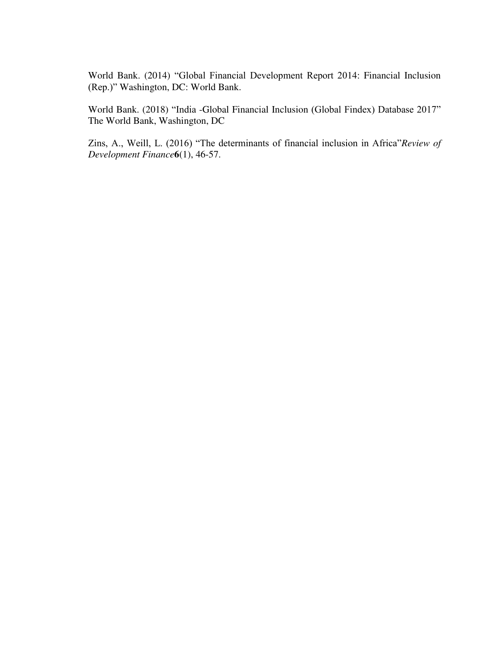World Bank. (2014) "Global Financial Development Report 2014: Financial Inclusion (Rep.)" Washington, DC: World Bank.

World Bank. (2018) "India -Global Financial Inclusion (Global Findex) Database 2017" The World Bank, Washington, DC

Zins, A., Weill, L. (2016) "The determinants of financial inclusion in Africa"*Review of Development Finance***6**(1), 46-57.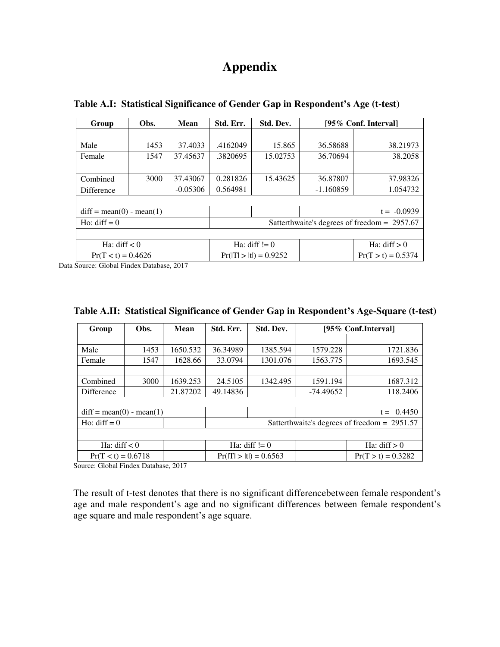## **Appendix**

| Obs.                       | <b>Mean</b> | Std. Err.                                    | Std. Dev.                         | [95\% Conf. Interval]    |                      |  |  |  |
|----------------------------|-------------|----------------------------------------------|-----------------------------------|--------------------------|----------------------|--|--|--|
|                            |             |                                              |                                   |                          |                      |  |  |  |
| 1453                       | 37.4033     | .4162049                                     | 15.865                            | 36.58688                 | 38.21973             |  |  |  |
| 1547                       | 37.45637    | .3820695                                     | 15.02753                          | 36.70694                 | 38.2058              |  |  |  |
|                            |             |                                              |                                   |                          |                      |  |  |  |
| 3000                       | 37.43067    | 0.281826                                     | 15.43625                          | 36.87807                 | 37.98326             |  |  |  |
|                            | $-0.05306$  | 0.564981                                     |                                   | $-1.160859$              | 1.054732             |  |  |  |
|                            |             |                                              |                                   |                          |                      |  |  |  |
| $diff = mean(0) - mean(1)$ |             |                                              |                                   |                          | $t = -0.0939$        |  |  |  |
|                            |             | Satterthwaite's degrees of freedom = 2957.67 |                                   |                          |                      |  |  |  |
|                            |             |                                              |                                   |                          |                      |  |  |  |
| Ha: $diff < 0$             |             |                                              | Ha: $diff := 0$<br>Ha: $diff > 0$ |                          |                      |  |  |  |
| $Pr(T < t) = 0.4626$       |             |                                              |                                   |                          | $Pr(T > t) = 0.5374$ |  |  |  |
|                            |             |                                              |                                   | $Pr( T  >  t ) = 0.9252$ |                      |  |  |  |

**Table A.I: Statistical Significance of Gender Gap in Respondent's Age (t-test)** 

Data Source: Global Findex Database, 2017

| Group                      | Obs. | <b>Mean</b> | Std. Err.       | Std. Dev.              | [95\% Conf.Interval]                           |                |  |
|----------------------------|------|-------------|-----------------|------------------------|------------------------------------------------|----------------|--|
|                            |      |             |                 |                        |                                                |                |  |
| Male                       | 1453 | 1650.532    | 36.34989        | 1385.594               | 1579.228                                       | 1721.836       |  |
| Female                     | 1547 | 1628.66     | 33.0794         | 1301.076               | 1563.775                                       | 1693.545       |  |
|                            |      |             |                 |                        |                                                |                |  |
| Combined                   | 3000 | 1639.253    | 24.5105         | 1342.495               | 1591.194                                       | 1687.312       |  |
| <b>Difference</b>          |      | 21.87202    | 49.14836        |                        | -74.49652                                      | 118.2406       |  |
|                            |      |             |                 |                        |                                                |                |  |
| $diff = mean(0) - mean(1)$ |      |             |                 |                        | $t = 0.4450$                                   |                |  |
| Ho: diff $= 0$             |      |             |                 |                        | Satterthwaite's degrees of freedom = $2951.57$ |                |  |
|                            |      |             |                 |                        |                                                |                |  |
| Ha: diff $< 0$             |      |             | Ha: diff $!= 0$ |                        |                                                | Ha: $diff > 0$ |  |
| $Pr(T < t) = 0.6718$       |      |             |                 | $Pr(T >  t ) = 0.6563$ | $Pr(T > t) = 0.3282$                           |                |  |

**Table A.II: Statistical Significance of Gender Gap in Respondent's Age-Square (t-test)** 

Source: Global Findex Database, 2017

The result of t-test denotes that there is no significant difference between female respondent's age and male respondent's age and no significant differences between female respondent's age square and male respondent's age square.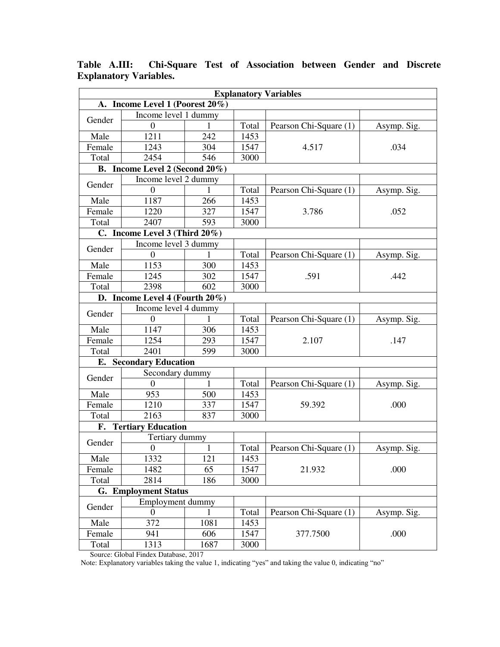| <b>Explanatory Variables</b>    |                                     |              |       |                        |             |  |  |  |
|---------------------------------|-------------------------------------|--------------|-------|------------------------|-------------|--|--|--|
| A. Income Level 1 (Poorest 20%) |                                     |              |       |                        |             |  |  |  |
| Gender                          | Income level 1 dummy                |              |       |                        |             |  |  |  |
|                                 | $\Omega$                            |              | Total | Pearson Chi-Square (1) | Asymp. Sig. |  |  |  |
| Male                            | 1211                                | 242          | 1453  |                        |             |  |  |  |
| Female                          | 1243                                | 304          | 1547  | 4.517                  | .034        |  |  |  |
| Total                           | 2454                                | 546          | 3000  |                        |             |  |  |  |
|                                 | B. Income Level 2 (Second 20%)      |              |       |                        |             |  |  |  |
| Gender                          | Income level 2 dummy                |              |       |                        |             |  |  |  |
|                                 | $\theta$                            | 1            | Total | Pearson Chi-Square (1) | Asymp. Sig. |  |  |  |
| Male                            | 1187                                | 266          | 1453  |                        |             |  |  |  |
| Female                          | 1220                                | 327          | 1547  | 3.786                  | .052        |  |  |  |
| Total                           | 2407                                | 593          | 3000  |                        |             |  |  |  |
|                                 | C. Income Level $3$ (Third $20\%$ ) |              |       |                        |             |  |  |  |
| Gender                          | Income level 3 dummy                |              |       |                        |             |  |  |  |
|                                 | $\boldsymbol{0}$                    | 1            | Total | Pearson Chi-Square (1) | Asymp. Sig. |  |  |  |
| Male                            | 1153                                | 300          | 1453  |                        | .442        |  |  |  |
| Female                          | 1245                                | 302          | 1547  | .591                   |             |  |  |  |
| Total                           | 2398                                | 602          | 3000  |                        |             |  |  |  |
| D. Income Level 4 (Fourth 20%)  |                                     |              |       |                        |             |  |  |  |
| Income level 4 dummy<br>Gender  |                                     |              |       |                        |             |  |  |  |
|                                 | $\boldsymbol{0}$                    |              | Total | Pearson Chi-Square (1) | Asymp. Sig. |  |  |  |
| Male                            | 1147                                | 306          | 1453  |                        | .147        |  |  |  |
| Female                          | 1254                                | 293          | 1547  | 2.107                  |             |  |  |  |
| Total                           | 2401                                | 599          | 3000  |                        |             |  |  |  |
| Е.                              | <b>Secondary Education</b>          |              |       |                        |             |  |  |  |
| Gender                          | Secondary dummy                     |              |       |                        |             |  |  |  |
|                                 | $\boldsymbol{0}$                    | 1            | Total | Pearson Chi-Square (1) | Asymp. Sig. |  |  |  |
| Male                            | 953                                 | 500          | 1453  |                        |             |  |  |  |
| Female                          | 1210                                | 337          | 1547  | 59.392                 | .000        |  |  |  |
| Total                           | 2163                                | 837          | 3000  |                        |             |  |  |  |
|                                 | <b>F.</b> Tertiary Education        |              |       |                        |             |  |  |  |
| Gender                          | Tertiary dummy                      |              |       |                        |             |  |  |  |
|                                 | $\boldsymbol{0}$                    | $\mathbf{1}$ | Total | Pearson Chi-Square (1) | Asymp. Sig. |  |  |  |
| Male                            | 1332                                | 121          | 1453  |                        |             |  |  |  |
| Female                          | 1482                                | 65           | 1547  | 21.932                 | .000        |  |  |  |
| Total                           | 2814                                | 186          | 3000  |                        |             |  |  |  |
|                                 | <b>G.</b> Employment Status         |              |       |                        |             |  |  |  |
| Employment dummy<br>Gender      |                                     |              |       |                        |             |  |  |  |
|                                 | $\boldsymbol{0}$                    |              | Total | Pearson Chi-Square (1) | Asymp. Sig. |  |  |  |
| Male                            | 372                                 | 1081         | 1453  |                        |             |  |  |  |
| Female                          | 941                                 | 606          | 1547  | 377.7500               | .000        |  |  |  |
| Total                           | 1313                                | 1687         | 3000  |                        |             |  |  |  |

**Table A.III: Chi-Square Test of Association between Gender and Discrete Explanatory Variables.** 

Source: Global Findex Database, 2017

Note: Explanatory variables taking the value 1, indicating "yes" and taking the value 0, indicating "no"